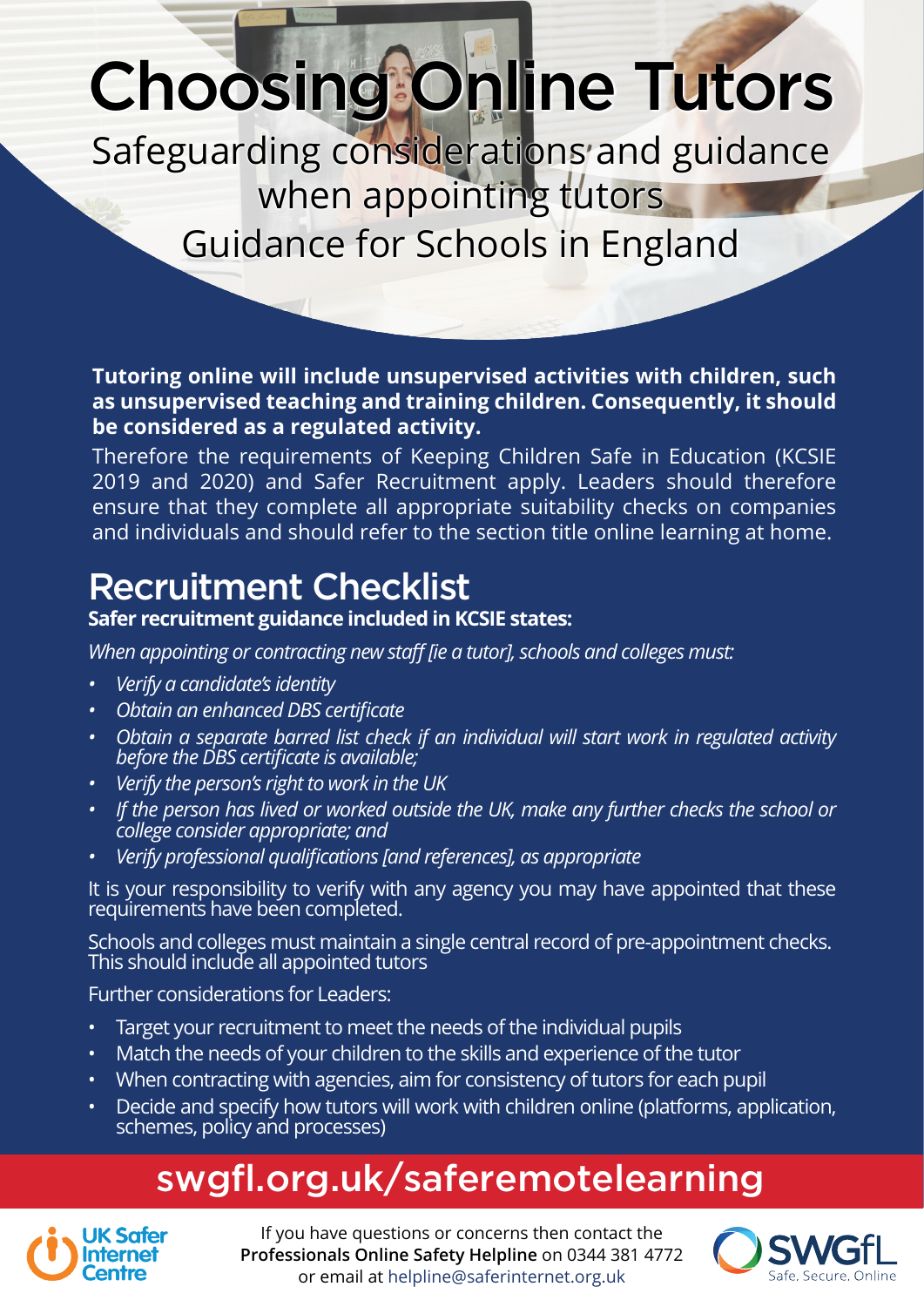# Choosing Online Tutors

Safeguarding considerations and guidance when appointing tutors

Guidance for Schools in England

**Tutoring online will include unsupervised activities with children, such as unsupervised teaching and training children. Consequently, it should be considered as a regulated activity.**

Therefore the requirements of Keeping Children Safe in Education (KCSIE 2019 and 2020) and Safer Recruitment apply. Leaders should therefore ensure that they complete all appropriate suitability checks on companies and individuals and should refer to the section title online learning at home.

#### Recruitment Checklist

#### **Safer recruitment guidance included in KCSIE states:**

*When appointing or contracting new staff [ie a tutor], schools and colleges must:*

- *Verify a candidate's identity*
- *Obtain an enhanced DBS certificate*
- *Obtain a separate barred list check if an individual will start work in regulated activity before the DBS certificate is available;*
- *Verify the person's right to work in the UK*
- *If the person has lived or worked outside the UK, make any further checks the school or college consider appropriate; and*
- *Verify professional qualifications [and references], as appropriate*

It is your responsibility to verify with any agency you may have appointed that these requirements have been completed.

Schools and colleges must maintain a single central record of pre-appointment checks. This should include all appointed tutors

Further considerations for Leaders:

- Target your recruitment to meet the needs of the individual pupils
- Match the needs of your children to the skills and experience of the tutor
- When contracting with agencies, aim for consistency of tutors for each pupil
- Decide and specify how tutors will work with children online (platforms, application, schemes, policy and processes)

# swgfl.org.uk/saferemotelearning



If you have questions or concerns then contact the **Professionals Online Safety Helpline** on 0344 381 4772 or email at helpline@saferinternet.org.uk